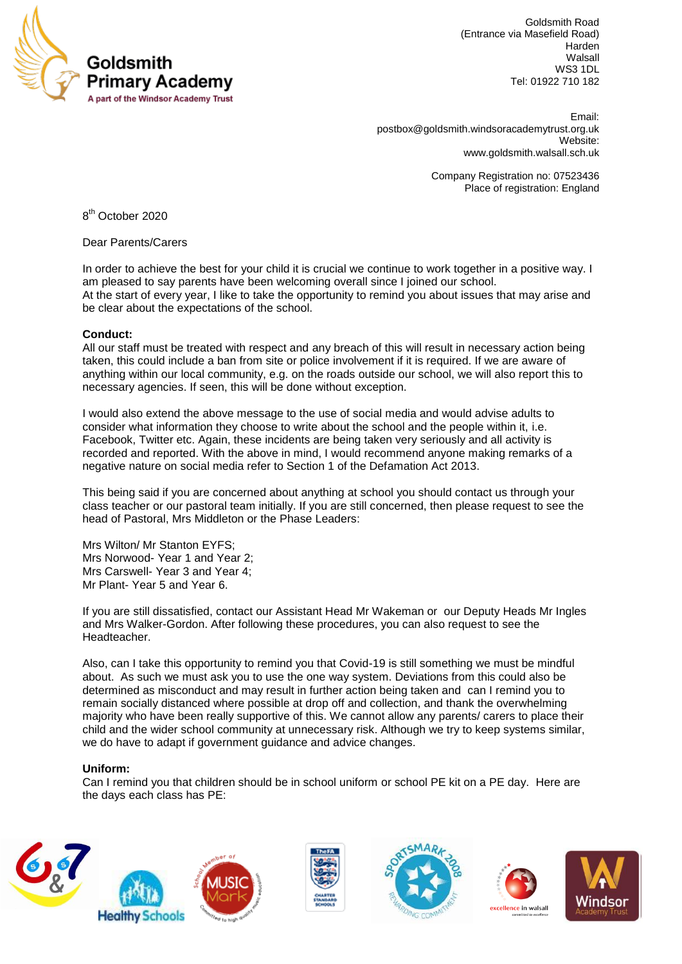

Goldsmith Road (Entrance via Masefield Road) Harden Walsall WS3 1DL Tel: 01922 710 182

 Email: [postbox@goldsmith.windsoracademytrust.org.uk](mailto:postbox@goldsmith.windsoracademytrust.org.uk) Website: [www.goldsmith.walsall.sch.uk](http://www.goldsmith.walsall.sch.uk/)

> Company Registration no: 07523436 Place of registration: England

8<sup>th</sup> October 2020

Dear Parents/Carers

In order to achieve the best for your child it is crucial we continue to work together in a positive way. I am pleased to say parents have been welcoming overall since I joined our school. At the start of every year, I like to take the opportunity to remind you about issues that may arise and be clear about the expectations of the school.

# **Conduct:**

All our staff must be treated with respect and any breach of this will result in necessary action being taken, this could include a ban from site or police involvement if it is required. If we are aware of anything within our local community, e.g. on the roads outside our school, we will also report this to necessary agencies. If seen, this will be done without exception.

I would also extend the above message to the use of social media and would advise adults to consider what information they choose to write about the school and the people within it, i.e. Facebook, Twitter etc. Again, these incidents are being taken very seriously and all activity is recorded and reported. With the above in mind, I would recommend anyone making remarks of a negative nature on social media refer to Section 1 of the Defamation Act 2013.

This being said if you are concerned about anything at school you should contact us through your class teacher or our pastoral team initially. If you are still concerned, then please request to see the head of Pastoral, Mrs Middleton or the Phase Leaders:

Mrs Wilton/ Mr Stanton EYFS; Mrs Norwood- Year 1 and Year 2; Mrs Carswell- Year 3 and Year 4; Mr Plant- Year 5 and Year 6.

If you are still dissatisfied, contact our Assistant Head Mr Wakeman or our Deputy Heads Mr Ingles and Mrs Walker-Gordon. After following these procedures, you can also request to see the **Headteacher** 

Also, can I take this opportunity to remind you that Covid-19 is still something we must be mindful about. As such we must ask you to use the one way system. Deviations from this could also be determined as misconduct and may result in further action being taken and can I remind you to remain socially distanced where possible at drop off and collection, and thank the overwhelming majority who have been really supportive of this. We cannot allow any parents/ carers to place their child and the wider school community at unnecessary risk. Although we try to keep systems similar, we do have to adapt if government guidance and advice changes.

# **Uniform:**

Can I remind you that children should be in school uniform or school PE kit on a PE day. Here are the days each class has PE: